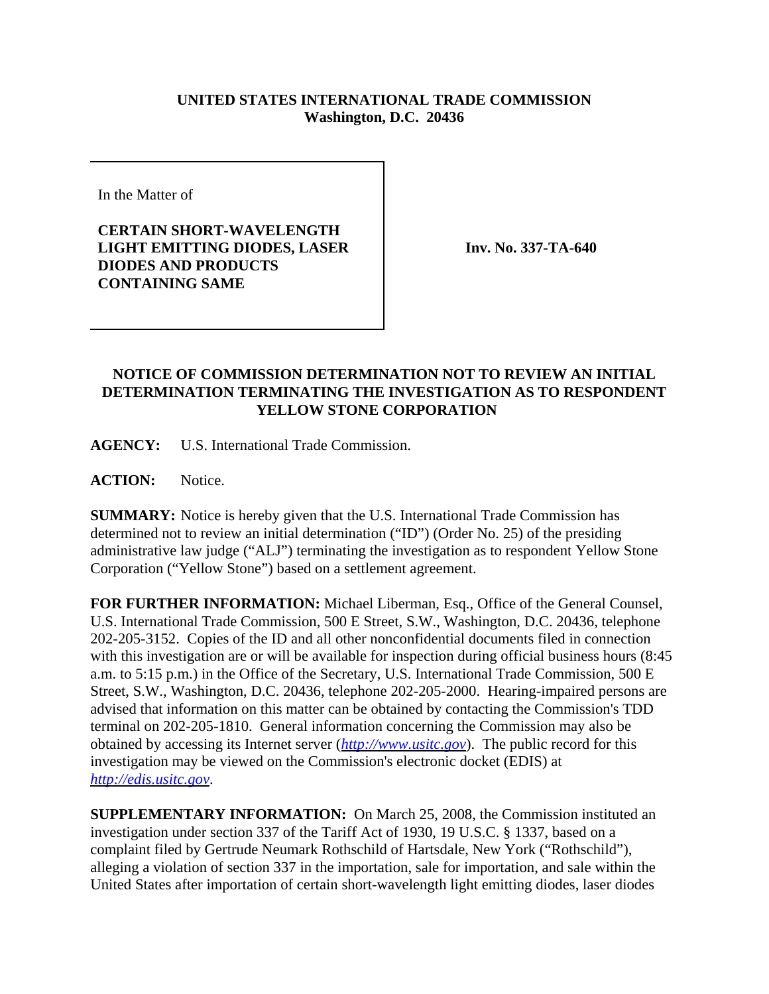## **UNITED STATES INTERNATIONAL TRADE COMMISSION Washington, D.C. 20436**

In the Matter of

**CERTAIN SHORT-WAVELENGTH LIGHT EMITTING DIODES, LASER DIODES AND PRODUCTS CONTAINING SAME**

**Inv. No. 337-TA-640**

## **NOTICE OF COMMISSION DETERMINATION NOT TO REVIEW AN INITIAL DETERMINATION TERMINATING THE INVESTIGATION AS TO RESPONDENT YELLOW STONE CORPORATION**

**AGENCY:** U.S. International Trade Commission.

**ACTION:** Notice.

**SUMMARY:** Notice is hereby given that the U.S. International Trade Commission has determined not to review an initial determination ("ID") (Order No. 25) of the presiding administrative law judge ("ALJ") terminating the investigation as to respondent Yellow Stone Corporation ("Yellow Stone") based on a settlement agreement.

**FOR FURTHER INFORMATION:** Michael Liberman, Esq., Office of the General Counsel, U.S. International Trade Commission, 500 E Street, S.W., Washington, D.C. 20436, telephone 202-205-3152. Copies of the ID and all other nonconfidential documents filed in connection with this investigation are or will be available for inspection during official business hours (8:45 a.m. to 5:15 p.m.) in the Office of the Secretary, U.S. International Trade Commission, 500 E Street, S.W., Washington, D.C. 20436, telephone 202-205-2000. Hearing-impaired persons are advised that information on this matter can be obtained by contacting the Commission's TDD terminal on 202-205-1810. General information concerning the Commission may also be obtained by accessing its Internet server (*http://www.usitc.gov*). The public record for this investigation may be viewed on the Commission's electronic docket (EDIS) at *http://edis.usitc.gov*.

**SUPPLEMENTARY INFORMATION:** On March 25, 2008, the Commission instituted an investigation under section 337 of the Tariff Act of 1930, 19 U.S.C. § 1337, based on a complaint filed by Gertrude Neumark Rothschild of Hartsdale, New York ("Rothschild"), alleging a violation of section 337 in the importation, sale for importation, and sale within the United States after importation of certain short-wavelength light emitting diodes, laser diodes